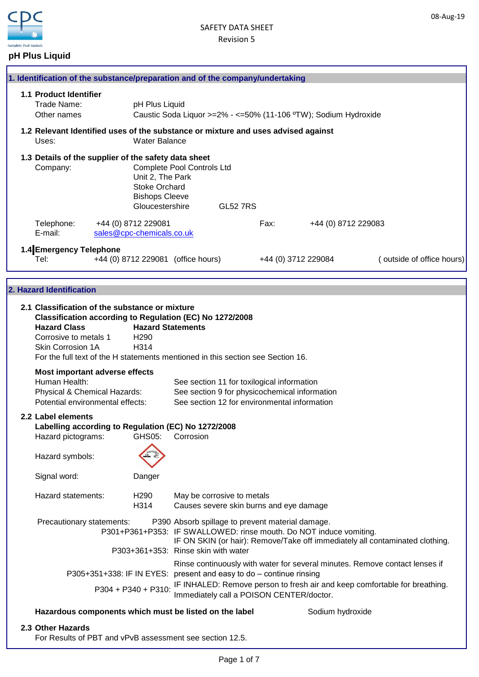

# **pH Plus Liquid**

|  |                                                                                                                     |                                                                                      | 1. Identification of the substance/preparation and of the company/undertaking                                                                                 |                 |                     |                                                                              |  |
|--|---------------------------------------------------------------------------------------------------------------------|--------------------------------------------------------------------------------------|---------------------------------------------------------------------------------------------------------------------------------------------------------------|-----------------|---------------------|------------------------------------------------------------------------------|--|
|  | 1.1 Product Identifier<br>Trade Name:<br>Other names                                                                | pH Plus Liquid                                                                       | Caustic Soda Liquor >=2% - <=50% (11-106 °TW); Sodium Hydroxide                                                                                               |                 |                     |                                                                              |  |
|  | Uses:                                                                                                               | <b>Water Balance</b>                                                                 | 1.2 Relevant Identified uses of the substance or mixture and uses advised against                                                                             |                 |                     |                                                                              |  |
|  | 1.3 Details of the supplier of the safety data sheet<br>Company:                                                    | Unit 2, The Park<br><b>Stoke Orchard</b><br><b>Bishops Cleeve</b><br>Gloucestershire | <b>Complete Pool Controls Ltd</b>                                                                                                                             | <b>GL52 7RS</b> |                     |                                                                              |  |
|  | Telephone:<br>E-mail:                                                                                               | +44 (0) 8712 229081<br>sales@cpc-chemicals.co.uk                                     |                                                                                                                                                               | Fax:            | +44 (0) 8712 229083 |                                                                              |  |
|  | 1.4 Emergency Telephone<br>Tel:                                                                                     |                                                                                      | +44 (0) 8712 229081 (office hours)                                                                                                                            |                 | +44 (0) 3712 229084 | (outside of office hours)                                                    |  |
|  | 2. Hazard Identification                                                                                            |                                                                                      |                                                                                                                                                               |                 |                     |                                                                              |  |
|  | 2.1 Classification of the substance or mixture<br><b>Hazard Class</b><br>Corrosive to metals 1<br>Skin Corrosion 1A | <b>Hazard Statements</b><br>H <sub>290</sub><br>H314                                 | Classification according to Regulation (EC) No 1272/2008<br>For the full text of the H statements mentioned in this section see Section 16.                   |                 |                     |                                                                              |  |
|  | Most important adverse effects<br>Human Health:<br>Physical & Chemical Hazards:<br>Potential environmental effects: |                                                                                      | See section 11 for toxilogical information<br>See section 9 for physicochemical information<br>See section 12 for environmental information                   |                 |                     |                                                                              |  |
|  | 2.2 Label elements<br>Hazard pictograms:<br>Hazard symbols:                                                         | GHS05:                                                                               | Labelling according to Regulation (EC) No 1272/2008<br>Corrosion                                                                                              |                 |                     |                                                                              |  |
|  | Signal word:                                                                                                        | Danger                                                                               |                                                                                                                                                               |                 |                     |                                                                              |  |
|  | Hazard statements:                                                                                                  | H <sub>290</sub><br>H314                                                             | May be corrosive to metals<br>Causes severe skin burns and eye damage                                                                                         |                 |                     |                                                                              |  |
|  | Precautionary statements:                                                                                           |                                                                                      | P390 Absorb spillage to prevent material damage.<br>P301+P361+P353: IF SWALLOWED: rinse mouth. Do NOT induce vomiting.<br>P303+361+353: Rinse skin with water |                 |                     | IF ON SKIN (or hair): Remove/Take off immediately all contaminated clothing. |  |
|  |                                                                                                                     |                                                                                      | P305+351+338: IF IN EYES: present and easy to do - continue rinsing                                                                                           |                 |                     | Rinse continuously with water for several minutes. Remove contact lenses if  |  |
|  |                                                                                                                     | P304 + P340 + P310:                                                                  | Immediately call a POISON CENTER/doctor.                                                                                                                      |                 |                     | IF INHALED: Remove person to fresh air and keep comfortable for breathing.   |  |
|  |                                                                                                                     |                                                                                      | Hazardous components which must be listed on the label                                                                                                        |                 | Sodium hydroxide    |                                                                              |  |
|  |                                                                                                                     |                                                                                      |                                                                                                                                                               |                 |                     |                                                                              |  |

### **2.3 Other Hazards**

For Results of PBT and vPvB assessment see section 12.5.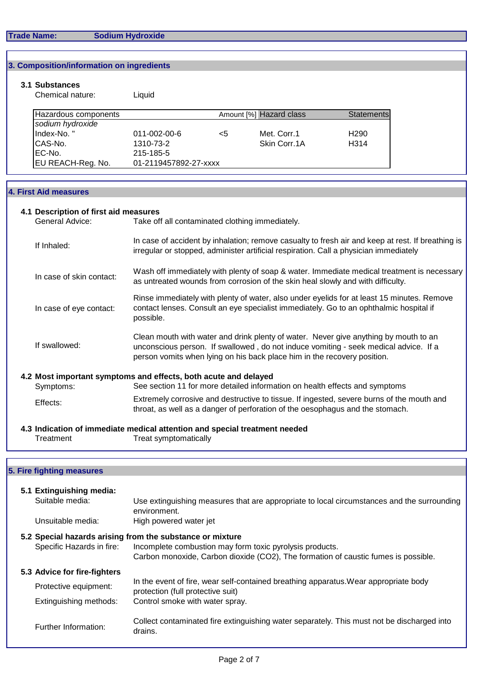#### **Trade Name: Sodium Hydroxide**

#### **3. Composition/information on ingredients**

## **3.1 Substances**

Chemical nature: Liquid

| Hazardous components |                       |    | Amount [%] Hazard class | Statements        |
|----------------------|-----------------------|----|-------------------------|-------------------|
| sodium hydroxide     |                       |    |                         |                   |
| Index-No."           | 011-002-00-6          | <5 | Met. Corr.1             | H <sub>290</sub>  |
| CAS-No.              | 1310-73-2             |    | Skin Corr.1A            | H <sub>3</sub> 14 |
| IEC-No.              | 215-185-5             |    |                         |                   |
| EU REACH-Reg. No.    | 01-2119457892-27-xxxx |    |                         |                   |

#### **4. First Aid measures**

## **4.1 Description of first aid measures** General Advice: Take off all contaminated clothing immediately. If Inhaled: In case of skin contact: In case of eye contact: If swallowed: **4.2 Most important symptoms and effects, both acute and delayed** See section 11 for more detailed information on health effects and symptoms Effects: In case of accident by inhalation; remove casualty to fresh air and keep at rest. If breathing is irregular or stopped, administer artificial respiration. Call a physician immediately Wash off immediately with plenty of soap & water. Immediate medical treatment is necessary as untreated wounds from corrosion of the skin heal slowly and with difficulty. Clean mouth with water and drink plenty of water. Never give anything by mouth to an unconscious person. If swallowed , do not induce vomiting - seek medical advice. If a person vomits when lying on his back place him in the recovery position. Rinse immediately with plenty of water, also under eyelids for at least 15 minutes. Remove contact lenses. Consult an eye specialist immediately. Go to an ophthalmic hospital if possible. Extremely corrosive and destructive to tissue. If ingested, severe burns of the mouth and throat, as well as a danger of perforation of the oesophagus and the stomach.

#### **4.3 Indication of immediate medical attention and special treatment needed** Treatment Treat symptomatically

### **5. Fire fighting measures**

| 5.1 Extinguishing media:<br>Suitable media: | Use extinguishing measures that are appropriate to local circumstances and the surrounding<br>environment.                                                                                                  |
|---------------------------------------------|-------------------------------------------------------------------------------------------------------------------------------------------------------------------------------------------------------------|
| Unsuitable media:                           | High powered water jet                                                                                                                                                                                      |
| Specific Hazards in fire:                   | 5.2 Special hazards arising from the substance or mixture<br>Incomplete combustion may form toxic pyrolysis products.<br>Carbon monoxide, Carbon dioxide (CO2), The formation of caustic fumes is possible. |
| 5.3 Advice for fire-fighters                |                                                                                                                                                                                                             |
| Protective equipment:                       | In the event of fire, wear self-contained breathing apparatus. Wear appropriate body<br>protection (full protective suit)                                                                                   |
| Extinguishing methods:                      | Control smoke with water spray.                                                                                                                                                                             |
| Further Information:                        | Collect contaminated fire extinguishing water separately. This must not be discharged into<br>drains.                                                                                                       |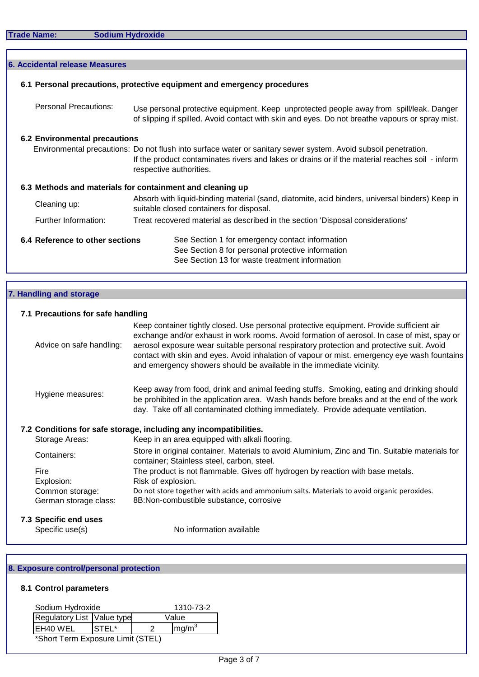|  | <b>6. Accidental release Measures</b> |                                                                                                                                                                                                                                               |
|--|---------------------------------------|-----------------------------------------------------------------------------------------------------------------------------------------------------------------------------------------------------------------------------------------------|
|  |                                       | 6.1 Personal precautions, protective equipment and emergency procedures                                                                                                                                                                       |
|  | <b>Personal Precautions:</b>          | Use personal protective equipment. Keep unprotected people away from spill/leak. Danger<br>of slipping if spilled. Avoid contact with skin and eyes. Do not breathe vapours or spray mist.                                                    |
|  | <b>6.2 Environmental precautions</b>  |                                                                                                                                                                                                                                               |
|  |                                       | Environmental precautions: Do not flush into surface water or sanitary sewer system. Avoid subsoil penetration.<br>If the product contaminates rivers and lakes or drains or if the material reaches soil - inform<br>respective authorities. |
|  |                                       | 6.3 Methods and materials for containment and cleaning up                                                                                                                                                                                     |
|  | Cleaning up:                          | Absorb with liquid-binding material (sand, diatomite, acid binders, universal binders) Keep in<br>suitable closed containers for disposal.                                                                                                    |
|  | Further Information:                  | Treat recovered material as described in the section 'Disposal considerations'                                                                                                                                                                |
|  | 6.4 Reference to other sections       | See Section 1 for emergency contact information                                                                                                                                                                                               |
|  |                                       | See Section 8 for personal protective information                                                                                                                                                                                             |
|  |                                       | See Section 13 for waste treatment information                                                                                                                                                                                                |

# **7. Handling and storage**

## **7.1 Precautions for safe handling**

| Advice on safe handling: | Keep container tightly closed. Use personal protective equipment. Provide sufficient air<br>exchange and/or exhaust in work rooms. Avoid formation of aerosol. In case of mist, spay or<br>aerosol exposure wear suitable personal respiratory protection and protective suit. Avoid<br>contact with skin and eyes. Avoid inhalation of vapour or mist. emergency eye wash fountains<br>and emergency showers should be available in the immediate vicinity. |
|--------------------------|--------------------------------------------------------------------------------------------------------------------------------------------------------------------------------------------------------------------------------------------------------------------------------------------------------------------------------------------------------------------------------------------------------------------------------------------------------------|
| Hygiene measures:        | Keep away from food, drink and animal feeding stuffs. Smoking, eating and drinking should<br>be prohibited in the application area. Wash hands before breaks and at the end of the work<br>day. Take off all contaminated clothing immediately. Provide adequate ventilation.                                                                                                                                                                                |
|                          | 7.2 Conditions for safe storage, including any incompatibilities.                                                                                                                                                                                                                                                                                                                                                                                            |
| Storage Areas:           | Keep in an area equipped with alkali flooring.                                                                                                                                                                                                                                                                                                                                                                                                               |
| Containers:              | Store in original container. Materials to avoid Aluminium, Zinc and Tin. Suitable materials for<br>container; Stainless steel, carbon, steel.                                                                                                                                                                                                                                                                                                                |
| Fire                     | The product is not flammable. Gives off hydrogen by reaction with base metals.                                                                                                                                                                                                                                                                                                                                                                               |
| Explosion:               | Risk of explosion.                                                                                                                                                                                                                                                                                                                                                                                                                                           |
| Common storage:          | Do not store together with acids and ammonium salts. Materials to avoid organic peroxides.                                                                                                                                                                                                                                                                                                                                                                   |
| German storage class:    | 8B:Non-combustible substance, corrosive                                                                                                                                                                                                                                                                                                                                                                                                                      |
| 7.3 Specific end uses    |                                                                                                                                                                                                                                                                                                                                                                                                                                                              |
| Specific use(s)          | No information available                                                                                                                                                                                                                                                                                                                                                                                                                                     |

# **8. Exposure control/personal protection**

## **8.1 Control parameters**

| Sodium Hydroxide                  |        |  | 1310-73-2         |
|-----------------------------------|--------|--|-------------------|
| Regulatory List Value type        |        |  | Value             |
| EH40 WEL                          | ISTEL* |  | mg/m <sup>3</sup> |
| *Short Term Exposure Limit (STEL) |        |  |                   |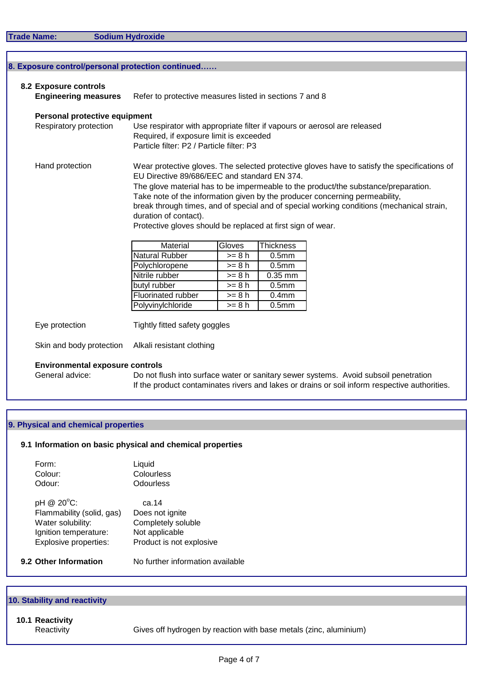**Sodium Hydroxide** 

| <b>Engineering measures</b>   | Refer to protective measures listed in sections 7 and 8                                   |          |                   |                                                                                              |  |  |
|-------------------------------|-------------------------------------------------------------------------------------------|----------|-------------------|----------------------------------------------------------------------------------------------|--|--|
| Personal protective equipment |                                                                                           |          |                   |                                                                                              |  |  |
| Respiratory protection        |                                                                                           |          |                   | Use respirator with appropriate filter if vapours or aerosol are released                    |  |  |
|                               | Required, if exposure limit is exceeded                                                   |          |                   |                                                                                              |  |  |
|                               | Particle filter: P2 / Particle filter: P3                                                 |          |                   |                                                                                              |  |  |
| Hand protection               |                                                                                           |          |                   | Wear protective gloves. The selected protective gloves have to satisfy the specifications of |  |  |
|                               | EU Directive 89/686/EEC and standard EN 374.                                              |          |                   |                                                                                              |  |  |
|                               | The glove material has to be impermeable to the product/the substance/preparation.        |          |                   |                                                                                              |  |  |
|                               | Take note of the information given by the producer concerning permeability,               |          |                   |                                                                                              |  |  |
|                               | break through times, and of special and of special working conditions (mechanical strain, |          |                   |                                                                                              |  |  |
|                               | duration of contact).                                                                     |          |                   |                                                                                              |  |  |
|                               | Protective gloves should be replaced at first sign of wear.                               |          |                   |                                                                                              |  |  |
|                               | Material                                                                                  | Gloves   | <b>Thickness</b>  |                                                                                              |  |  |
|                               | <b>Natural Rubber</b>                                                                     | $>= 8 h$ | 0.5 <sub>mm</sub> |                                                                                              |  |  |
|                               | Polychloropene                                                                            | $>= 8 h$ | 0.5 <sub>mm</sub> |                                                                                              |  |  |
|                               | Nitrile rubber                                                                            | $>= 8 h$ | 0.35 mm           |                                                                                              |  |  |
|                               | butyl rubber                                                                              | $>= 8 h$ | 0.5 <sub>mm</sub> |                                                                                              |  |  |
|                               | Fluorinated rubber                                                                        | $>= 8 h$ | 0.4 <sub>mm</sub> |                                                                                              |  |  |
|                               | Polyvinylchloride                                                                         | $>= 8 h$ | 0.5 <sub>mm</sub> |                                                                                              |  |  |
|                               | Tightly fitted safety goggles                                                             |          |                   |                                                                                              |  |  |
| Eye protection                |                                                                                           |          |                   |                                                                                              |  |  |

General advice: Do not flush into surface water or sanitary sewer systems. Avoid subsoil penetration If the product contaminates rivers and lakes or drains or soil inform respective authorities.

# **9. Physical and chemical properties**

# **9.1 Information on basic physical and chemical properties**

| Form:   | Liquid     |
|---------|------------|
| Colour: | Colourless |
| Odour:  | Odourless  |

| pH @ 20°C:                | ca.14                    |
|---------------------------|--------------------------|
| Flammability (solid, gas) | Does not ignite          |
| Water solubility:         | Completely soluble       |
| Ignition temperature:     | Not applicable           |
| Explosive properties:     | Product is not explosive |
|                           |                          |

**9.2 Other Information No further information available** 

# **10. Stability and reactivity**

**10.1 Reactivity**

Reactivity Gives off hydrogen by reaction with base metals (zinc, aluminium)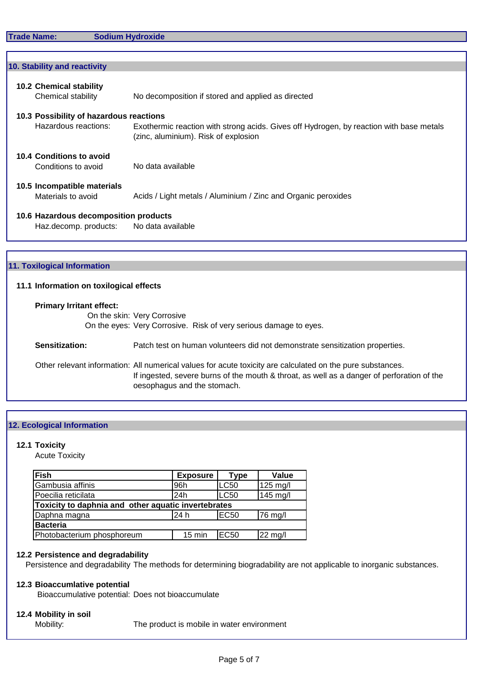| 10. Stability and reactivity            |                                                                                         |  |  |  |
|-----------------------------------------|-----------------------------------------------------------------------------------------|--|--|--|
|                                         |                                                                                         |  |  |  |
| <b>10.2 Chemical stability</b>          |                                                                                         |  |  |  |
| Chemical stability                      | No decomposition if stored and applied as directed                                      |  |  |  |
| 10.3 Possibility of hazardous reactions |                                                                                         |  |  |  |
| Hazardous reactions:                    | Exothermic reaction with strong acids. Gives off Hydrogen, by reaction with base metals |  |  |  |
|                                         | (zinc, aluminium). Risk of explosion                                                    |  |  |  |
|                                         |                                                                                         |  |  |  |
| 10.4 Conditions to avoid                |                                                                                         |  |  |  |
| Conditions to avoid                     | No data available                                                                       |  |  |  |
|                                         |                                                                                         |  |  |  |
| 10.5 Incompatible materials             |                                                                                         |  |  |  |
| Materials to avoid                      | Acids / Light metals / Aluminium / Zinc and Organic peroxides                           |  |  |  |
|                                         |                                                                                         |  |  |  |
| 10.6 Hazardous decomposition products   |                                                                                         |  |  |  |
| Haz.decomp. products:                   | No data available                                                                       |  |  |  |
|                                         |                                                                                         |  |  |  |
|                                         |                                                                                         |  |  |  |

## **11. Toxilogical Information**

## **11.1 Information on toxilogical effects**

| <b>Primary Irritant effect:</b> | On the skin: Very Corrosive<br>On the eyes: Very Corrosive. Risk of very serious damage to eyes.                                                                                                                                        |
|---------------------------------|-----------------------------------------------------------------------------------------------------------------------------------------------------------------------------------------------------------------------------------------|
| Sensitization:                  | Patch test on human volunteers did not demonstrate sensitization properties.                                                                                                                                                            |
|                                 | Other relevant information: All numerical values for acute toxicity are calculated on the pure substances.<br>If ingested, severe burns of the mouth & throat, as well as a danger of perforation of the<br>oesophagus and the stomach. |

### **12. Ecological Information**

#### **12.1 Toxicity**

Acute Toxicity

| Fish                                                | <b>Exposure</b>  | <b>Type</b>      | Value           |
|-----------------------------------------------------|------------------|------------------|-----------------|
| Gambusia affinis                                    | 96h              | LC50             | 125 mg/l        |
| Poecilia reticilata                                 | 24h              | LC50             | 145 mg/l        |
| Toxicity to daphnia and other aquatic invertebrates |                  |                  |                 |
| Daphna magna                                        | 24 h             | EC50             | <b>176 mg/l</b> |
| <b>Bacteria</b>                                     |                  |                  |                 |
| Photobacterium phosphoreum                          | $15 \text{ min}$ | EC <sub>50</sub> | 22 mg/l         |

## **12.2 Persistence and degradability**

Persistence and degradability The methods for determining biogradability are not applicable to inorganic substances.

### **12.3 Bioaccumlative potential**

Bioaccumulative potential: Does not bioaccumulate

# **12.4 Mobility in soil**

Mobility: The product is mobile in water environment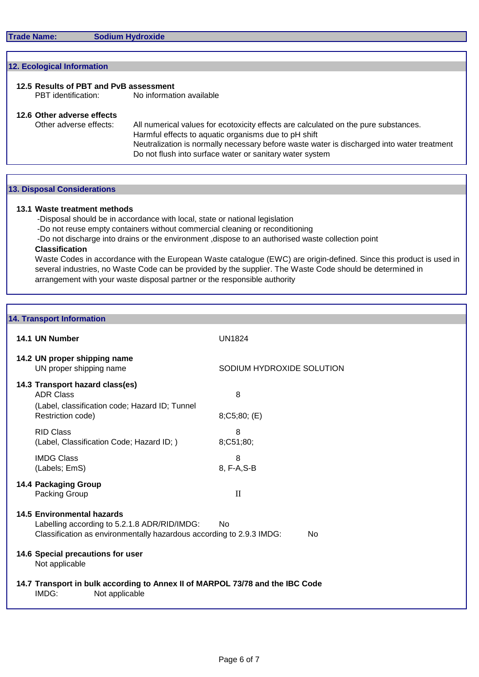# **12.5 Results of PBT and PvB assessment** No information available **12.6 Other adverse effects** Other adverse effects: All numerical values for ecotoxicity effects are calculated on the pure substances. Harmful effects to aquatic organisms due to pH shift Do not flush into surface water or sanitary water system Neutralization is normally necessary before waste water is discharged into water treatment **12. Ecological Information**

#### **13. Disposal Considerations**

## **13.1 Waste treatment methods**

-Disposal should be in accordance with local, state or national legislation

-Do not reuse empty containers without commercial cleaning or reconditioning

-Do not discharge into drains or the environment ,dispose to an authorised waste collection point

#### **Classification**

Waste Codes in accordance with the European Waste catalogue (EWC) are origin-defined. Since this product is used in several industries, no Waste Code can be provided by the supplier. The Waste Code should be determined in arrangement with your waste disposal partner or the responsible authority

### **14. Transport Information**

| 14.1 UN Number                                                                                                                                                                    | <b>UN1824</b>             |  |
|-----------------------------------------------------------------------------------------------------------------------------------------------------------------------------------|---------------------------|--|
| 14.2 UN proper shipping name<br>UN proper shipping name                                                                                                                           | SODIUM HYDROXIDE SOLUTION |  |
| 14.3 Transport hazard class(es)<br><b>ADR Class</b><br>(Label, classification code; Hazard ID; Tunnel                                                                             | 8                         |  |
| Restriction code)                                                                                                                                                                 | $8;C5;80;$ (E)            |  |
| <b>RID Class</b><br>(Label, Classification Code; Hazard ID; )                                                                                                                     | 8<br>8;C51;80;            |  |
| <b>IMDG Class</b><br>(Labels; EmS)                                                                                                                                                | 8<br>8, F-A, S-B          |  |
| 14.4 Packaging Group<br>Packing Group                                                                                                                                             | $\mathbf{I}$              |  |
| <b>14.5 Environmental hazards</b><br>Labelling according to 5.2.1.8 ADR/RID/IMDG:<br>No<br>Classification as environmentally hazardous according to 2.9.3 IMDG:<br>N <sub>0</sub> |                           |  |
| 14.6 Special precautions for user<br>Not applicable                                                                                                                               |                           |  |
| 14.7 Transport in bulk according to Annex II of MARPOL 73/78 and the IBC Code<br>IMDG:<br>Not applicable                                                                          |                           |  |